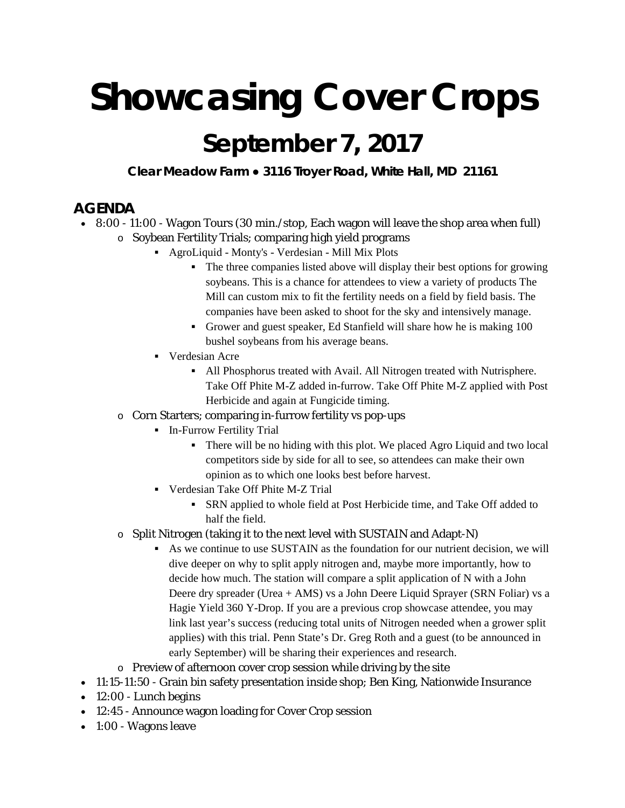# **Showcasing Cover Crops**

## **September 7, 2017**

**Clear Meadow Farm ● 3116 Troyer Road, White Hall, MD 21161**

### **AGENDA**

- 8:00 11:00 Wagon Tours (30 min./stop, Each wagon will leave the shop area when full)
	- o Soybean Fertility Trials; comparing high yield programs
		- AgroLiquid Monty's Verdesian Mill Mix Plots
			- The three companies listed above will display their best options for growing soybeans. This is a chance for attendees to view a variety of products The Mill can custom mix to fit the fertility needs on a field by field basis. The companies have been asked to shoot for the sky and intensively manage.
			- Grower and guest speaker, Ed Stanfield will share how he is making 100 bushel soybeans from his average beans.
		- **Verdesian Acre** 
			- All Phosphorus treated with Avail. All Nitrogen treated with Nutrisphere. Take Off Phite M-Z added in-furrow. Take Off Phite M-Z applied with Post Herbicide and again at Fungicide timing.
	- o Corn Starters; comparing in-furrow fertility vs pop-ups
		- **In-Furrow Fertility Trial** 
			- There will be no hiding with this plot. We placed Agro Liquid and two local competitors side by side for all to see, so attendees can make their own opinion as to which one looks best before harvest.
		- Verdesian Take Off Phite M-Z Trial
			- SRN applied to whole field at Post Herbicide time, and Take Off added to half the field.
	- o Split Nitrogen (taking it to the next level with SUSTAIN and Adapt-N)
		- As we continue to use SUSTAIN as the foundation for our nutrient decision, we will dive deeper on why to split apply nitrogen and, maybe more importantly, how to decide how much. The station will compare a split application of N with a John Deere dry spreader (Urea + AMS) vs a John Deere Liquid Sprayer (SRN Foliar) vs a Hagie Yield 360 Y-Drop. If you are a previous crop showcase attendee, you may link last year's success (reducing total units of Nitrogen needed when a grower split applies) with this trial. Penn State's Dr. Greg Roth and a guest (to be announced in early September) will be sharing their experiences and research.
	- o Preview of afternoon cover crop session while driving by the site
- 11:15-11:50 Grain bin safety presentation inside shop; Ben King, Nationwide Insurance
- 12:00 Lunch begins
- 12:45 Announce wagon loading for Cover Crop session
- 1:00 Wagons leave